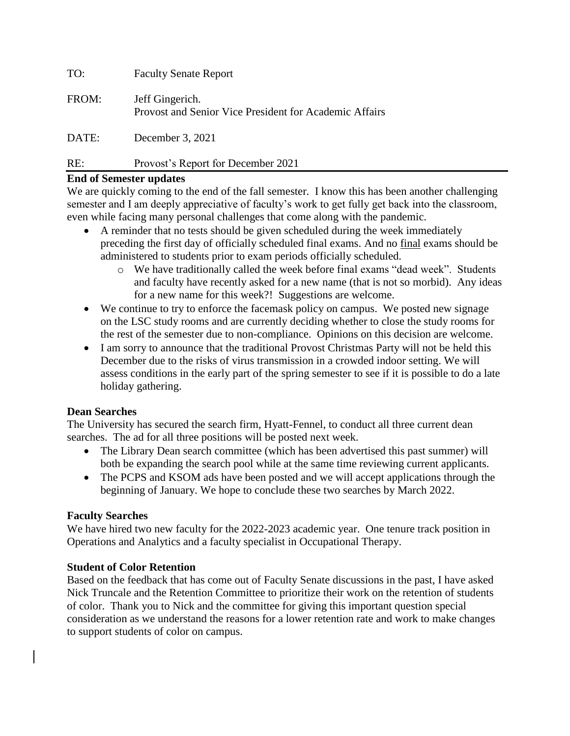| TO:   | <b>Faculty Senate Report</b>                                              |
|-------|---------------------------------------------------------------------------|
| FROM: | Jeff Gingerich.<br>Provost and Senior Vice President for Academic Affairs |
| ----- |                                                                           |

DATE: December 3, 2021

# RE: Provost's Report for December 2021

# **End of Semester updates**

We are quickly coming to the end of the fall semester. I know this has been another challenging semester and I am deeply appreciative of faculty's work to get fully get back into the classroom, even while facing many personal challenges that come along with the pandemic.

- A reminder that no tests should be given scheduled during the week immediately preceding the first day of officially scheduled final exams. And no final exams should be administered to students prior to exam periods officially scheduled.
	- o We have traditionally called the week before final exams "dead week". Students and faculty have recently asked for a new name (that is not so morbid). Any ideas for a new name for this week?! Suggestions are welcome.
- We continue to try to enforce the facemask policy on campus. We posted new signage on the LSC study rooms and are currently deciding whether to close the study rooms for the rest of the semester due to non-compliance. Opinions on this decision are welcome.
- I am sorry to announce that the traditional Provost Christmas Party will not be held this December due to the risks of virus transmission in a crowded indoor setting. We will assess conditions in the early part of the spring semester to see if it is possible to do a late holiday gathering.

# **Dean Searches**

The University has secured the search firm, Hyatt-Fennel, to conduct all three current dean searches. The ad for all three positions will be posted next week.

- The Library Dean search committee (which has been advertised this past summer) will both be expanding the search pool while at the same time reviewing current applicants.
- The PCPS and KSOM ads have been posted and we will accept applications through the beginning of January. We hope to conclude these two searches by March 2022.

# **Faculty Searches**

We have hired two new faculty for the 2022-2023 academic year. One tenure track position in Operations and Analytics and a faculty specialist in Occupational Therapy.

# **Student of Color Retention**

Based on the feedback that has come out of Faculty Senate discussions in the past, I have asked Nick Truncale and the Retention Committee to prioritize their work on the retention of students of color. Thank you to Nick and the committee for giving this important question special consideration as we understand the reasons for a lower retention rate and work to make changes to support students of color on campus.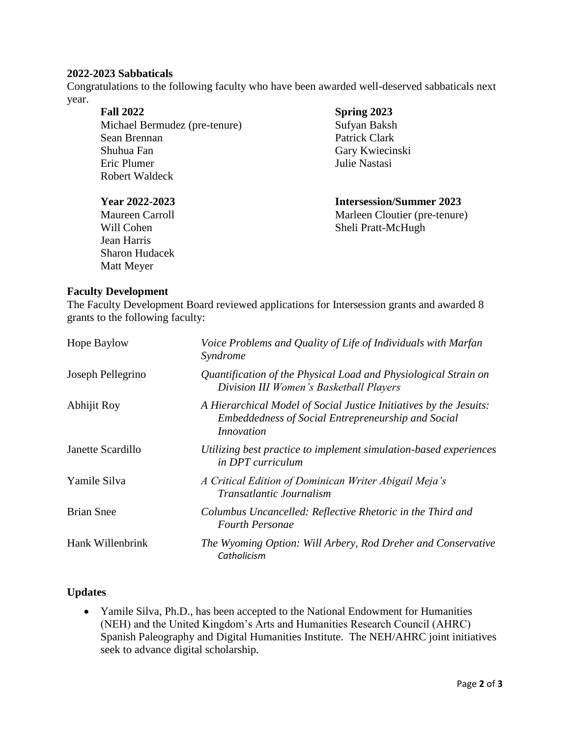### **2022-2023 Sabbaticals**

Congratulations to the following faculty who have been awarded well-deserved sabbaticals next year.

## **Fall 2022** Michael Bermudez (pre-tenure) Sean Brennan Shuhua Fan Eric Plumer Robert Waldeck

Jean Harris Sharon Hudacek Matt Meyer

## **Spring 2023**

Sufyan Baksh Patrick Clark Gary Kwiecinski Julie Nastasi

# **Year 2022-2023 Intersession/Summer 2023**

Maureen Carroll Marleen Cloutier (pre-tenure) Will Cohen Sheli Pratt-McHugh

## **Faculty Development**

The Faculty Development Board reviewed applications for Intersession grants and awarded 8 grants to the following faculty:

| Hope Baylow       | Voice Problems and Quality of Life of Individuals with Marfan<br>Syndrome                                                                            |
|-------------------|------------------------------------------------------------------------------------------------------------------------------------------------------|
| Joseph Pellegrino | Quantification of the Physical Load and Physiological Strain on<br>Division III Women's Basketball Players                                           |
| Abhijit Roy       | A Hierarchical Model of Social Justice Initiatives by the Jesuits:<br><b>Embeddedness of Social Entrepreneurship and Social</b><br><i>Innovation</i> |
| Janette Scardillo | Utilizing best practice to implement simulation-based experiences<br><i>in DPT curriculum</i>                                                        |
| Yamile Silva      | A Critical Edition of Dominican Writer Abigail Meja's<br><i>Transatlantic Journalism</i>                                                             |
| <b>Brian Snee</b> | Columbus Uncancelled: Reflective Rhetoric in the Third and<br><b>Fourth Personae</b>                                                                 |
| Hank Willenbrink  | The Wyoming Option: Will Arbery, Rod Dreher and Conservative<br>Catholicism                                                                          |

## **Updates**

• Yamile Silva, Ph.D., has been accepted to the National Endowment for Humanities (NEH) and the United Kingdom's Arts and Humanities Research Council (AHRC) Spanish Paleography and Digital Humanities Institute. The NEH/AHRC joint initiatives seek to advance digital scholarship.